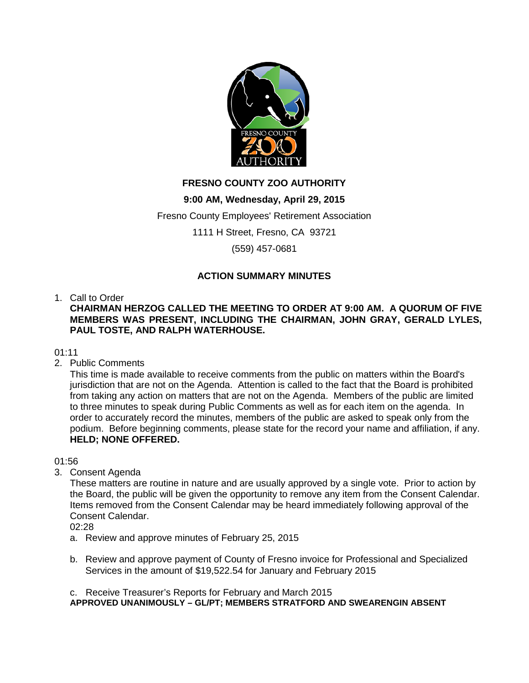

# **FRESNO COUNTY ZOO AUTHORITY**

# **9:00 AM, Wednesday, April 29, 2015**

Fresno County Employees' Retirement Association

1111 H Street, Fresno, CA 93721

(559) 457-0681

# **ACTION SUMMARY MINUTES**

# 1. Call to Order

**CHAIRMAN HERZOG CALLED THE MEETING TO ORDER AT 9:00 AM. A QUORUM OF FIVE MEMBERS WAS PRESENT, INCLUDING THE CHAIRMAN, JOHN GRAY, GERALD LYLES, PAUL TOSTE, AND RALPH WATERHOUSE.** 

# 01:11

2. Public Comments

This time is made available to receive comments from the public on matters within the Board's jurisdiction that are not on the Agenda. Attention is called to the fact that the Board is prohibited from taking any action on matters that are not on the Agenda. Members of the public are limited to three minutes to speak during Public Comments as well as for each item on the agenda. In order to accurately record the minutes, members of the public are asked to speak only from the podium. Before beginning comments, please state for the record your name and affiliation, if any. **HELD; NONE OFFERED.**

01:56

3. Consent Agenda

These matters are routine in nature and are usually approved by a single vote. Prior to action by the Board, the public will be given the opportunity to remove any item from the Consent Calendar. Items removed from the Consent Calendar may be heard immediately following approval of the Consent Calendar.

02:28

- a. Review and approve minutes of February 25, 2015
- b. Review and approve payment of County of Fresno invoice for Professional and Specialized Services in the amount of \$19,522.54 for January and February 2015

c. Receive Treasurer's Reports for February and March 2015 **APPROVED UNANIMOUSLY – GL/PT; MEMBERS STRATFORD AND SWEARENGIN ABSENT**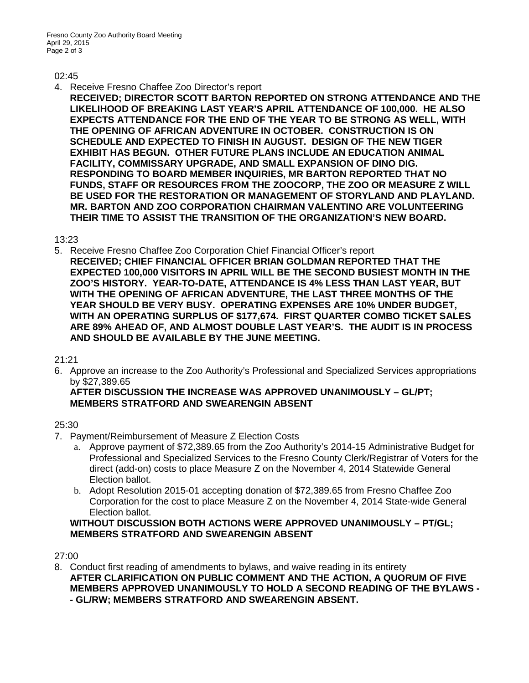#### 02:45

- 4. Receive Fresno Chaffee Zoo Director's report
	- **RECEIVED; DIRECTOR SCOTT BARTON REPORTED ON STRONG ATTENDANCE AND THE LIKELIHOOD OF BREAKING LAST YEAR'S APRIL ATTENDANCE OF 100,000. HE ALSO EXPECTS ATTENDANCE FOR THE END OF THE YEAR TO BE STRONG AS WELL, WITH THE OPENING OF AFRICAN ADVENTURE IN OCTOBER. CONSTRUCTION IS ON SCHEDULE AND EXPECTED TO FINISH IN AUGUST. DESIGN OF THE NEW TIGER EXHIBIT HAS BEGUN. OTHER FUTURE PLANS INCLUDE AN EDUCATION ANIMAL FACILITY, COMMISSARY UPGRADE, AND SMALL EXPANSION OF DINO DIG. RESPONDING TO BOARD MEMBER INQUIRIES, MR BARTON REPORTED THAT NO FUNDS, STAFF OR RESOURCES FROM THE ZOOCORP, THE ZOO OR MEASURE Z WILL BE USED FOR THE RESTORATION OR MANAGEMENT OF STORYLAND AND PLAYLAND. MR. BARTON AND ZOO CORPORATION CHAIRMAN VALENTINO ARE VOLUNTEERING THEIR TIME TO ASSIST THE TRANSITION OF THE ORGANIZATION'S NEW BOARD.**

13:23

5. Receive Fresno Chaffee Zoo Corporation Chief Financial Officer's report **RECEIVED; CHIEF FINANCIAL OFFICER BRIAN GOLDMAN REPORTED THAT THE EXPECTED 100,000 VISITORS IN APRIL WILL BE THE SECOND BUSIEST MONTH IN THE ZOO'S HISTORY. YEAR-TO-DATE, ATTENDANCE IS 4% LESS THAN LAST YEAR, BUT WITH THE OPENING OF AFRICAN ADVENTURE, THE LAST THREE MONTHS OF THE YEAR SHOULD BE VERY BUSY. OPERATING EXPENSES ARE 10% UNDER BUDGET, WITH AN OPERATING SURPLUS OF \$177,674. FIRST QUARTER COMBO TICKET SALES ARE 89% AHEAD OF, AND ALMOST DOUBLE LAST YEAR'S. THE AUDIT IS IN PROCESS AND SHOULD BE AVAILABLE BY THE JUNE MEETING.**

21:21

6. Approve an increase to the Zoo Authority's Professional and Specialized Services appropriations by \$27,389.65

**AFTER DISCUSSION THE INCREASE WAS APPROVED UNANIMOUSLY – GL/PT; MEMBERS STRATFORD AND SWEARENGIN ABSENT**

# 25:30

- 7. Payment/Reimbursement of Measure Z Election Costs
	- a. Approve payment of \$72,389.65 from the Zoo Authority's 2014-15 Administrative Budget for Professional and Specialized Services to the Fresno County Clerk/Registrar of Voters for the direct (add-on) costs to place Measure Z on the November 4, 2014 Statewide General Election ballot.
	- b. Adopt Resolution 2015-01 accepting donation of \$72,389.65 from Fresno Chaffee Zoo Corporation for the cost to place Measure Z on the November 4, 2014 State-wide General Election ballot.

# **WITHOUT DISCUSSION BOTH ACTIONS WERE APPROVED UNANIMOUSLY – PT/GL; MEMBERS STRATFORD AND SWEARENGIN ABSENT**

# 27:00

8. Conduct first reading of amendments to bylaws, and waive reading in its entirety **AFTER CLARIFICATION ON PUBLIC COMMENT AND THE ACTION, A QUORUM OF FIVE MEMBERS APPROVED UNANIMOUSLY TO HOLD A SECOND READING OF THE BYLAWS - - GL/RW; MEMBERS STRATFORD AND SWEARENGIN ABSENT.**